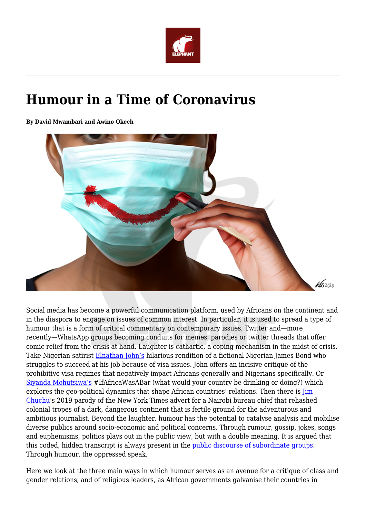

## **Humour in a Time of Coronavirus**

**By David Mwambari and Awino Okech**



Social media has become a powerful communication platform, used by Africans on the continent and in the diaspora to engage on issues of common interest. In particular, it is used to spread a type of humour that is a form of critical commentary on contemporary issues, Twitter and—more recently—WhatsApp groups becoming conduits for memes, parodies or twitter threads that offer comic relief from the crisis at hand. Laughter is cathartic, a coping mechanism in the midst of crisis. Take Nigerian satirist [Elnathan John's](http://elitearena.blogspot.com/2016/08/todays-question-what-if-james-bond-was.html?m=1) hilarious rendition of a fictional Nigerian James Bond who struggles to succeed at his job because of visa issues. John offers an incisive critique of the prohibitive visa regimes that negatively impact Africans generally and Nigerians specifically. Or [Siyanda Mohutsiwa's](https://www.ted.com/talks/siyanda_mohutsiwa_how_young_africans_found_a_voice_on_twitter?utm_campaign=social&utm_medium=referral&utm_source=t.co&utm_content=talk&utm_term=technology) #IfAfricaWasABar (what would your country be drinking or doing?) which explores the geo-political dynamics that shape African countries' relations. Then there is  $\overline{\lim}$ [Chuchu](https://twitter.com/jimchuchu/status/1147034052442169345?ref_src=twsrc%5Etfw%7Ctwcamp%5Etweetembed%7Ctwterm%5E1147034052442169345&ref_url=https%3A%2F%2Fwww.theafricareport.com%2F15078%2Fthe-new-york-times-shows-how-to-write-about-an-africa-job-adv)'s 2019 parody of the New York Times advert for a Nairobi bureau chief that rehashed colonial tropes of a dark, dangerous continent that is fertile ground for the adventurous and ambitious journalist. Beyond the laughter, humour has the potential to catalyse analysis and mobilise diverse publics around socio-economic and political concerns. Through rumour, gossip, jokes, songs and euphemisms, politics plays out in the public view, but with a double meaning. It is argued that this coded, hidden transcript is always present in the [public discourse of subordinate groups](https://yalebooks.yale.edu/book/9780300056693/domination-and-arts-resistance). Through humour, the oppressed speak.

Here we look at the three main ways in which humour serves as an avenue for a critique of class and gender relations, and of religious leaders, as African governments galvanise their countries in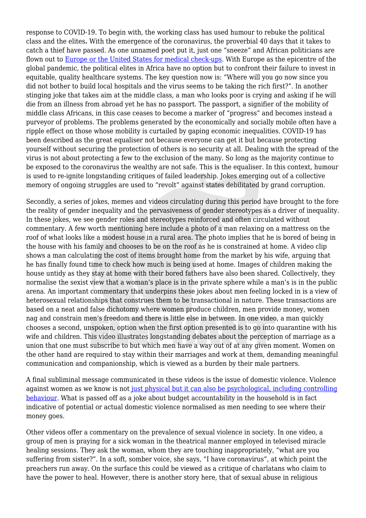response to COVID-19. To begin with, the working class has used humour to rebuke the political class and the elites**.** With the emergence of the coronavirus, the proverbial 40 days that it takes to catch a thief have passed. As one unnamed poet put it, just one "sneeze" and African politicians are flown out to [Europe or the United States for medical check-ups.](https://theconversation.com/african-politicians-seeking-medical-help-abroad-is-shameful-and-harms-health-care-82771) With Europe as the epicentre of the global pandemic, the political elites in Africa have no option but to confront their failure to invest in equitable, quality healthcare systems. The key question now is: "Where will you go now since you did not bother to build local hospitals and the virus seems to be taking the rich first?". In another stinging joke that takes aim at the middle class, a man who looks poor is crying and asking if he will die from an illness from abroad yet he has no passport. The passport, a signifier of the mobility of middle class Africans, in this case ceases to become a marker of "progress" and becomes instead a purveyor of problems. The problems generated by the economically and socially mobile often have a ripple effect on those whose mobility is curtailed by gaping economic inequalities. COVID-19 has been described as the great equaliser not because everyone can get it but because protecting yourself without securing the protection of others is no security at all. Dealing with the spread of the virus is not about protecting a few to the exclusion of the many. So long as the majority continue to be exposed to the coronavirus the wealthy are not safe. This is the equaliser. In this context, humour is used to re-ignite longstanding critiques of failed leadership. Jokes emerging out of a collective memory of ongoing struggles are used to "revolt" against states debilitated by grand corruption.

Secondly, a series of jokes, memes and videos circulating during this period have brought to the fore the reality of gender inequality and the pervasiveness of gender stereotypes as a driver of inequality. In these jokes, we see gender roles and stereotypes reinforced and often circulated without commentary. A few worth mentioning here include a photo of a man relaxing on a mattress on the roof of what looks like a modest house in a rural area. The photo implies that he is bored of being in the house with his family and chooses to be on the roof as he is constrained at home. A video clip shows a man calculating the cost of items brought home from the market by his wife, arguing that he has finally found time to check how much is being used at home. Images of children making the house untidy as they stay at home with their bored fathers have also been shared. Collectively, they normalise the sexist view that a woman's place is in the private sphere while a man's is in the public arena. An important commentary that underpins these jokes about men feeling locked in is a view of heterosexual relationships that construes them to be transactional in nature. These transactions are based on a neat and false dichotomy where women produce children, men provide money, women nag and constrain men's freedom and there is little else in between. In one video, a man quickly chooses a second, unspoken, option when the first option presented is to go into quarantine with his wife and children. This video illustrates longstanding debates about the perception of marriage as a union that one must subscribe to but which men have a way out of at any given moment. Women on the other hand are required to stay within their marriages and work at them, demanding meaningful communication and companionship, which is viewed as a burden by their male partners.

A final subliminal message communicated in these videos is the issue of domestic violence. Violence against women as we know is not [just physical but it can also be psychological, including controlling](https://www.who.int/news-room/fact-sheets/detail/violence-against-women) [behaviour.](https://www.who.int/news-room/fact-sheets/detail/violence-against-women) What is passed off as a joke about budget accountability in the household is in fact indicative of potential or actual domestic violence normalised as men needing to see where their money goes.

Other videos offer a commentary on the prevalence of sexual violence in society. In one video, a group of men is praying for a sick woman in the theatrical manner employed in televised miracle healing sessions. They ask the woman, whom they are touching inappropriately, "what are you suffering from sister?". In a soft, somber voice, she says, "I have coronavirus", at which point the preachers run away. On the surface this could be viewed as a critique of charlatans who claim to have the power to heal. However, there is another story here, that of sexual abuse in religious